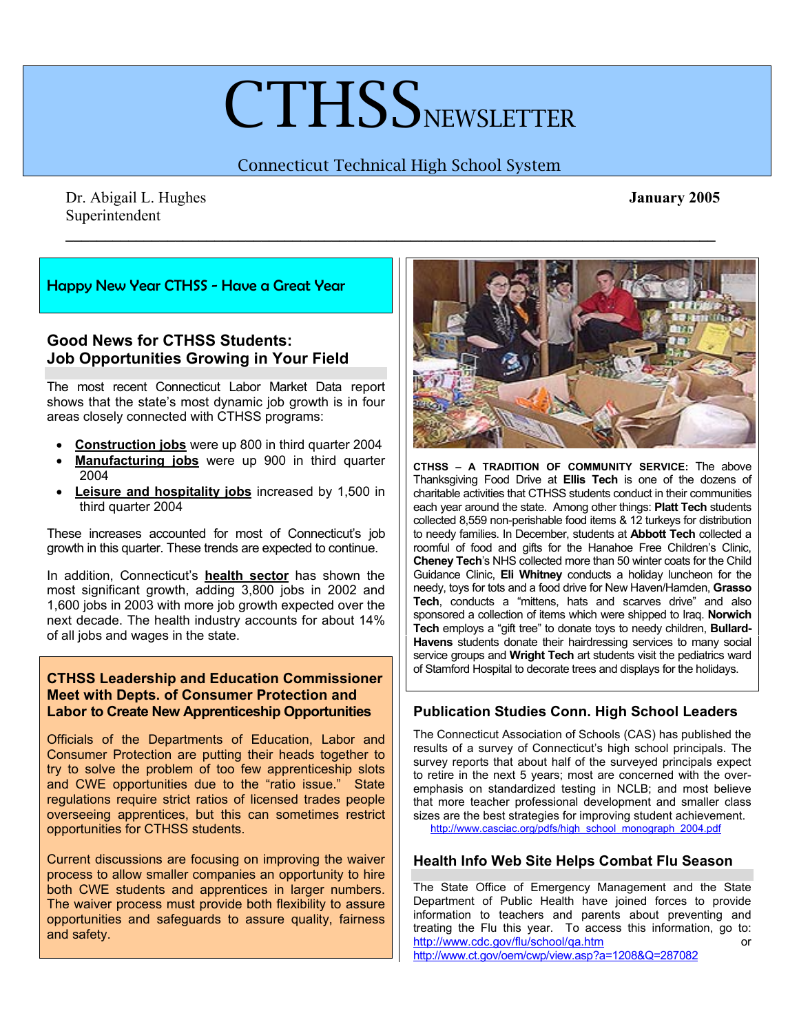# **CTHSS**NEWSLETTER

# Connecticut Technical High School System

**\_\_\_\_\_\_\_\_\_\_\_\_\_\_\_\_\_\_\_\_\_\_\_\_\_\_\_\_\_\_\_\_\_\_\_\_\_\_\_\_\_\_\_\_\_\_\_\_\_\_\_\_\_\_\_\_\_\_\_\_\_\_\_\_\_\_\_\_\_\_\_\_\_\_\_\_\_\_\_\_\_\_\_** 

Dr. Abigail L. Hughes **January 2005**  Superintendent

#### Happy New Year CTHSS - Have a Great Year

## **Good News for CTHSS Students: Job Opportunities Growing in Your Field**

The most recent Connecticut Labor Market Data report shows that the state's most dynamic job growth is in four areas closely connected with CTHSS programs:

- **Construction jobs** were up 800 in third quarter 2004
- **Manufacturing jobs** were up 900 in third quarter 2004
- **Leisure and hospitality jobs** increased by 1,500 in third quarter 2004

These increases accounted for most of Connecticut's job growth in this quarter. These trends are expected to continue.

In addition, Connecticut's **health sector** has shown the most significant growth, adding 3,800 jobs in 2002 and 1,600 jobs in 2003 with more job growth expected over the next decade. The health industry accounts for about 14% of all jobs and wages in the state.

#### **CTHSS Leadership and Education Commissioner Meet with Depts. of Consumer Protection and Labor to Create New Apprenticeship Opportunities**

Officials of the Departments of Education, Labor and Consumer Protection are putting their heads together to try to solve the problem of too few apprenticeship slots and CWE opportunities due to the "ratio issue." State regulations require strict ratios of licensed trades people overseeing apprentices, but this can sometimes restrict opportunities for CTHSS students.

Current discussions are focusing on improving the waiver process to allow smaller companies an opportunity to hire both CWE students and apprentices in larger numbers. The waiver process must provide both flexibility to assure opportunities and safeguards to assure quality, fairness and safety.



**CTHSS – A TRADITION OF COMMUNITY SERVICE:** The above Thanksgiving Food Drive at **Ellis Tech** is one of the dozens of charitable activities that CTHSS students conduct in their communities each year around the state. Among other things: **Platt Tech** students collected 8,559 non-perishable food items & 12 turkeys for distribution to needy families. In December, students at **Abbott Tech** collected a roomful of food and gifts for the Hanahoe Free Children's Clinic, **Cheney Tech**'s NHS collected more than 50 winter coats for the Child Guidance Clinic, **Eli Whitney** conducts a holiday luncheon for the needy, toys for tots and a food drive for New Haven/Hamden, **Grasso Tech**, conducts a "mittens, hats and scarves drive" and also sponsored a collection of items which were shipped to Iraq. **Norwich Tech** employs a "gift tree" to donate toys to needy children, **Bullard-Havens** students donate their hairdressing services to many social service groups and **Wright Tech** art students visit the pediatrics ward of Stamford Hospital to decorate trees and displays for the holidays.

## **Publication Studies Conn. High School Leaders**

The Connecticut Association of Schools (CAS) has published the results of a survey of Connecticut's high school principals. The survey reports that about half of the surveyed principals expect to retire in the next 5 years; most are concerned with the overemphasis on standardized testing in NCLB; and most believe that more teacher professional development and smaller class sizes are the best strategies for improving student achievement. http://www.casciac.org/pdfs/high\_school\_monograph\_2004.pdf

#### **Health Info Web Site Helps Combat Flu Season**

The State Office of Emergency Management and the State Department of Public Health have joined forces to provide information to teachers and parents about preventing and treating the Flu this year. To access this information, go to: http://www.cdc.gov/flu/school/qa.htm or http://www.ct.gov/oem/cwp/view.asp?a=1208&Q=287082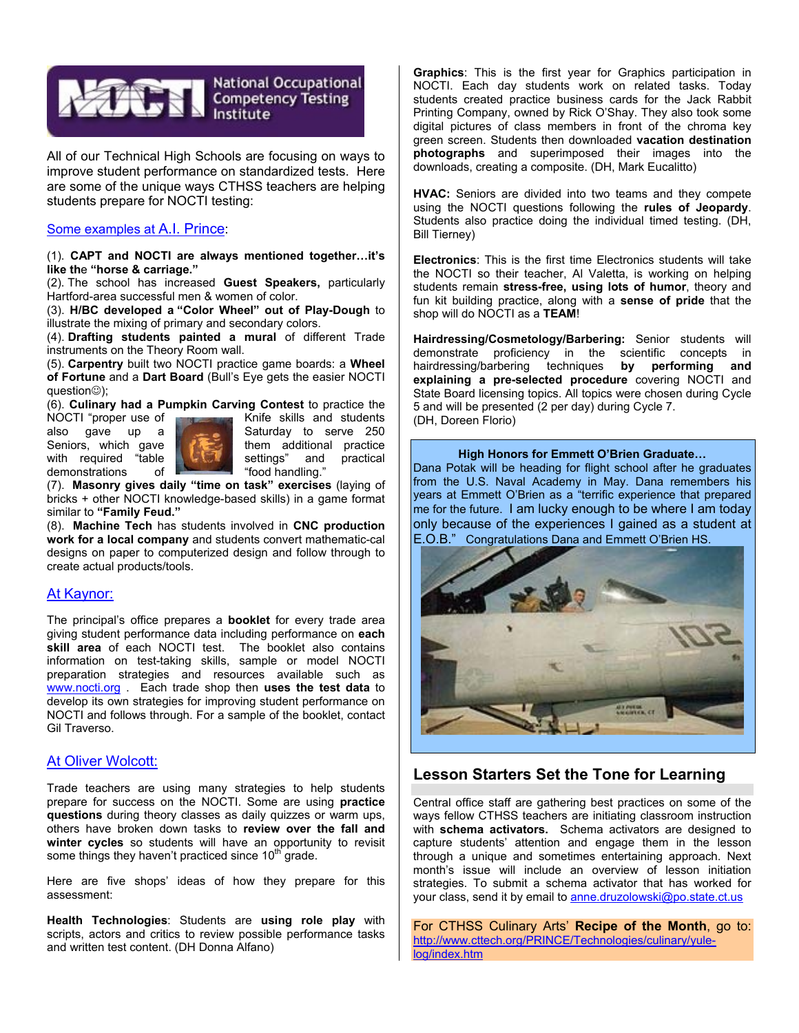

All of our Technical High Schools are focusing on ways to improve student performance on standardized tests. Here are some of the unique ways CTHSS teachers are helping students prepare for NOCTI testing:

#### Some examples at A.I. Prince:

(1). **CAPT and NOCTI are always mentioned together…it's like th**e **"horse & carriage."** 

(2). The school has increased **Guest Speakers,** particularly Hartford-area successful men & women of color.

(3). **H/BC developed a "Color Wheel" out of Play-Dough** to illustrate the mixing of primary and secondary colors.

(4). **Drafting students painted a mural** of different Trade instruments on the Theory Room wall.

(5). **Carpentry** built two NOCTI practice game boards: a **Wheel of Fortune** and a **Dart Board** (Bull's Eye gets the easier NOCTI question☺);

(6). **Culinary had a Pumpkin Carving Contest** to practice the

demonstrations of "food handling."



NOCTI "proper use of The Theorem Knife skills and students<br>also gave up a Saturday to serve 250 Saturday to serve 250 Seniors, which gave them additional practice<br>with required "table the settings" and practical with required "table  $\mathbb{R}$  settings" and practical

(7). **Masonry gives daily "time on task" exercises** (laying of bricks + other NOCTI knowledge-based skills) in a game format similar to **"Family Feud."** 

(8). **Machine Tech** has students involved in **CNC production work for a local company** and students convert mathematic-cal designs on paper to computerized design and follow through to create actual products/tools.

#### At Kaynor:

The principal's office prepares a **booklet** for every trade area giving student performance data including performance on **each skill area** of each NOCTI test. The booklet also contains information on test-taking skills, sample or model NOCTI preparation strategies and resources available such as www.nocti.org . Each trade shop then **uses the test data** to develop its own strategies for improving student performance on NOCTI and follows through. For a sample of the booklet, contact Gil Traverso.

#### At Oliver Wolcott:

Trade teachers are using many strategies to help students prepare for success on the NOCTI. Some are using **practice questions** during theory classes as daily quizzes or warm ups, others have broken down tasks to **review over the fall and winter cycles** so students will have an opportunity to revisit some things they haven't practiced since  $10<sup>th</sup>$  grade.

Here are five shops' ideas of how they prepare for this assessment:

**Health Technologies**: Students are **using role play** with scripts, actors and critics to review possible performance tasks and written test content. (DH Donna Alfano)

**Graphics**: This is the first year for Graphics participation in NOCTI. Each day students work on related tasks. Today students created practice business cards for the Jack Rabbit Printing Company, owned by Rick O'Shay. They also took some digital pictures of class members in front of the chroma key green screen. Students then downloaded **vacation destination photographs** and superimposed their images into the downloads, creating a composite. (DH, Mark Eucalitto)

**HVAC:** Seniors are divided into two teams and they compete using the NOCTI questions following the **rules of Jeopardy**. Students also practice doing the individual timed testing. (DH, Bill Tierney)

**Electronics**: This is the first time Electronics students will take the NOCTI so their teacher, Al Valetta, is working on helping students remain **stress-free, using lots of humor**, theory and fun kit building practice, along with a **sense of pride** that the shop will do NOCTI as a **TEAM**!

**Hairdressing/Cosmetology/Barbering:** Senior students will demonstrate proficiency in the scientific concepts in hairdressing/barbering techniques **by performing and explaining a pre-selected procedure** covering NOCTI and State Board licensing topics. All topics were chosen during Cycle 5 and will be presented (2 per day) during Cycle 7. (DH, Doreen Florio)

#### **High Honors for Emmett O'Brien Graduate…**

Dana Potak will be heading for flight school after he graduates from the U.S. Naval Academy in May. Dana remembers his years at Emmett O'Brien as a "terrific experience that prepared me for the future. I am lucky enough to be where I am today only because of the experiences I gained as a student at E.O.B." Congratulations Dana and Emmett O'Brien HS.



#### **Lesson Starters Set the Tone for Learning**

Central office staff are gathering best practices on some of the ways fellow CTHSS teachers are initiating classroom instruction with **schema activators.** Schema activators are designed to capture students' attention and engage them in the lesson through a unique and sometimes entertaining approach. Next month's issue will include an overview of lesson initiation strategies. To submit a schema activator that has worked for your class, send it by email to anne.druzolowski@po.state.ct.us

For CTHSS Culinary Arts' **Recipe of the Month**, go to: http://www.cttech.org/PRINCE/Technologies/culinary/yulelog/index.htm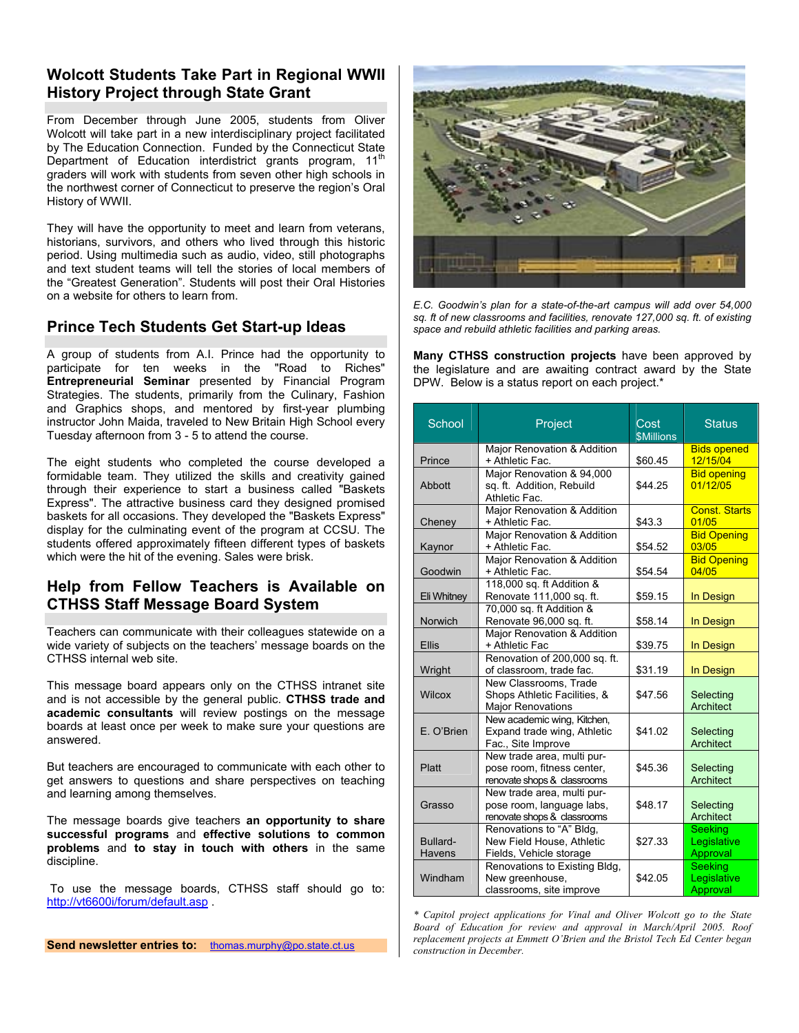#### **Wolcott Students Take Part in Regional WWII History Project through State Grant**

From December through June 2005, students from Oliver Wolcott will take part in a new interdisciplinary project facilitated by The Education Connection. Funded by the Connecticut State Department of Education interdistrict grants program, 11<sup>th</sup> graders will work with students from seven other high schools in the northwest corner of Connecticut to preserve the region's Oral History of WWII.

They will have the opportunity to meet and learn from veterans, historians, survivors, and others who lived through this historic period. Using multimedia such as audio, video, still photographs and text student teams will tell the stories of local members of the "Greatest Generation". Students will post their Oral Histories on a website for others to learn from.

#### **Prince Tech Students Get Start-up Ideas**

A group of students from A.I. Prince had the opportunity to participate for ten weeks in the "Road to Riches" **Entrepreneurial Seminar** presented by Financial Program Strategies. The students, primarily from the Culinary, Fashion and Graphics shops, and mentored by first-year plumbing instructor John Maida, traveled to New Britain High School every Tuesday afternoon from 3 - 5 to attend the course.

The eight students who completed the course developed a formidable team. They utilized the skills and creativity gained through their experience to start a business called "Baskets Express". The attractive business card they designed promised baskets for all occasions. They developed the "Baskets Express" display for the culminating event of the program at CCSU. The students offered approximately fifteen different types of baskets which were the hit of the evening. Sales were brisk.

#### **Help from Fellow Teachers is Available on CTHSS Staff Message Board System**

Teachers can communicate with their colleagues statewide on a wide variety of subjects on the teachers' message boards on the CTHSS internal web site.

This message board appears only on the CTHSS intranet site and is not accessible by the general public. **CTHSS trade and academic consultants** will review postings on the message boards at least once per week to make sure your questions are answered.

But teachers are encouraged to communicate with each other to get answers to questions and share perspectives on teaching and learning among themselves.

The message boards give teachers **an opportunity to share successful programs** and **effective solutions to common problems** and **to stay in touch with others** in the same discipline.

 To use the message boards, CTHSS staff should go to: http://vt6600i/forum/default.asp .

**Send newsletter entries to:** thomas.murphy@po.state.ct.us



*E.C. Goodwin's plan for a state-of-the-art campus will add over 54,000 sq. ft of new classrooms and facilities, renovate 127,000 sq. ft. of existing space and rebuild athletic facilities and parking areas.* 

**Many CTHSS construction projects** have been approved by the legislature and are awaiting contract award by the State DPW. Below is a status report on each project.\*

| School             | Project                                                                                 | Cost             | <b>Status</b>                             |
|--------------------|-----------------------------------------------------------------------------------------|------------------|-------------------------------------------|
|                    |                                                                                         | <b>SMillions</b> |                                           |
| Prince             | Major Renovation & Addition<br>+ Athletic Fac.                                          | \$60.45          | <b>Bids opened</b><br>12/15/04            |
| Abbott             | Major Renovation & 94,000<br>sq. ft. Addition, Rebuild<br>Athletic Fac.                 | \$44.25          | <b>Bid opening</b><br>01/12/05            |
| Cheney             | Major Renovation & Addition<br>+ Athletic Fac.                                          | \$43.3           | <b>Const. Starts</b><br>01/05             |
| Kaynor             | Major Renovation & Addition<br>+ Athletic Fac.                                          | \$54.52          | <b>Bid Opening</b><br>03/05               |
| Goodwin            | Major Renovation & Addition<br>+ Athletic Fac.                                          | \$54.54          | <b>Bid Opening</b><br>04/05               |
| Eli Whitney        | 118,000 sq. ft Addition &<br>Renovate 111,000 sq. ft.                                   | \$59.15          | In Design                                 |
| Norwich            | 70,000 sq. ft Addition &<br>Renovate 96,000 sq. ft.                                     | \$58.14          | In Design                                 |
| <b>Ellis</b>       | Major Renovation & Addition<br>+ Athletic Fac                                           | \$39.75          | In Design                                 |
| Wright             | Renovation of 200,000 sq. ft.<br>of classroom, trade fac.                               | \$31.19          | In Design                                 |
| Wilcox             | New Classrooms, Trade<br>Shops Athletic Facilities, &<br><b>Major Renovations</b>       | \$47.56          | Selecting<br>Architect                    |
| E. O'Brien         | New academic wing, Kitchen,<br>Expand trade wing, Athletic<br>Fac., Site Improve        | \$41.02          | Selecting<br><b>Architect</b>             |
| Platt              | New trade area, multi pur-<br>pose room, fitness center,<br>renovate shops & classrooms | \$45.36          | Selecting<br>Architect                    |
| Grasso             | New trade area, multi pur-<br>pose room, language labs,<br>renovate shops & classrooms  | \$48.17          | Selecting<br>Architect                    |
| Bullard-<br>Havens | Renovations to "A" Bldg,<br>New Field House, Athletic<br>Fields, Vehicle storage        | \$27.33          | <b>Seeking</b><br>Legislative<br>Approval |
| Windham            | Renovations to Existing Bldg,<br>New greenhouse,<br>classrooms, site improve            | \$42.05          | Seeking<br>Legislative<br>Approval        |

*\* Capitol project applications for Vinal and Oliver Wolcott go to the State Board of Education for review and approval in March/April 2005. Roof replacement projects at Emmett O'Brien and the Bristol Tech Ed Center began construction in December.*